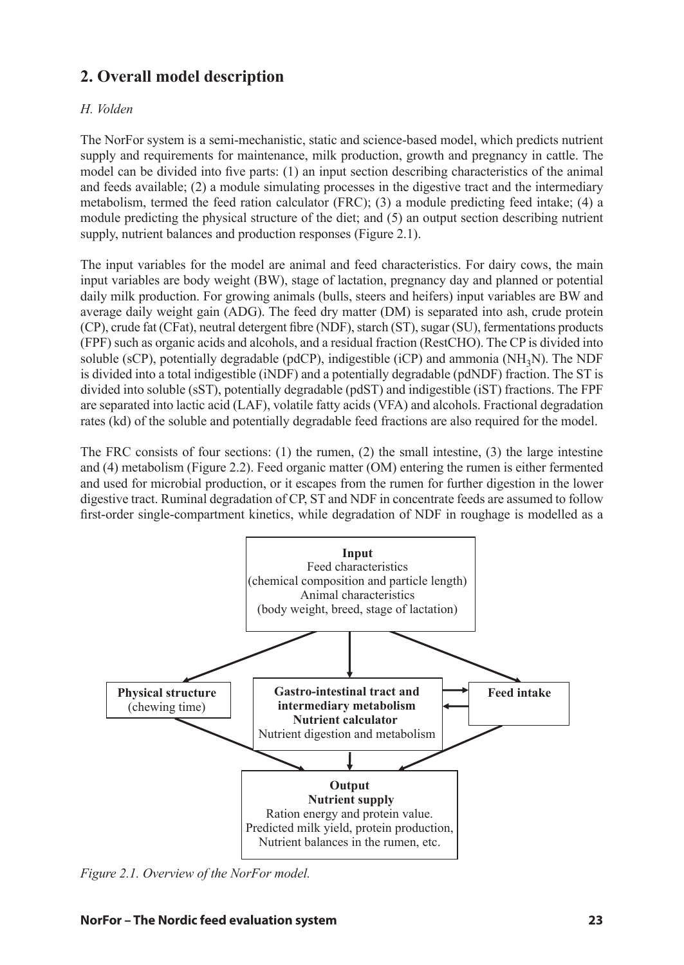## **2. Overall model description**

## *H. Volden*

The NorFor system is a semi-mechanistic, static and science-based model, which predicts nutrient supply and requirements for maintenance, milk production, growth and pregnancy in cattle. The model can be divided into five parts: (1) an input section describing characteristics of the animal and feeds available; (2) a module simulating processes in the digestive tract and the intermediary metabolism, termed the feed ration calculator (FRC); (3) a module predicting feed intake; (4) a module predicting the physical structure of the diet; and (5) an output section describing nutrient supply, nutrient balances and production responses (Figure 2.1).

The input variables for the model are animal and feed characteristics. For dairy cows, the main input variables are body weight (BW), stage of lactation, pregnancy day and planned or potential daily milk production. For growing animals (bulls, steers and heifers) input variables are BW and average daily weight gain (ADG). The feed dry matter (DM) is separated into ash, crude protein (CP), crude fat (CFat), neutral detergent fibre (NDF), starch (ST), sugar (SU), fermentations products (FPF) such as organic acids and alcohols, and a residual fraction (RestCHO). The CP is divided into soluble (sCP), potentially degradable (pdCP), indigestible (iCP) and ammonia  $(NH_2N)$ . The NDF is divided into a total indigestible (iNDF) and a potentially degradable (pdNDF) fraction. The ST is divided into soluble (sST), potentially degradable (pdST) and indigestible (iST) fractions. The FPF are separated into lactic acid (LAF), volatile fatty acids (VFA) and alcohols. Fractional degradation rates (kd) of the soluble and potentially degradable feed fractions are also required for the model.

The FRC consists of four sections: (1) the rumen, (2) the small intestine, (3) the large intestine and (4) metabolism (Figure 2.2). Feed organic matter (OM) entering the rumen is either fermented and used for microbial production, or it escapes from the rumen for further digestion in the lower digestive tract. Ruminal degradation of CP, ST and NDF in concentrate feeds are assumed to follow first-order single-compartment kinetics, while degradation of NDF in roughage is modelled as a



*Figure 2.1. Overview of the NorFor model.*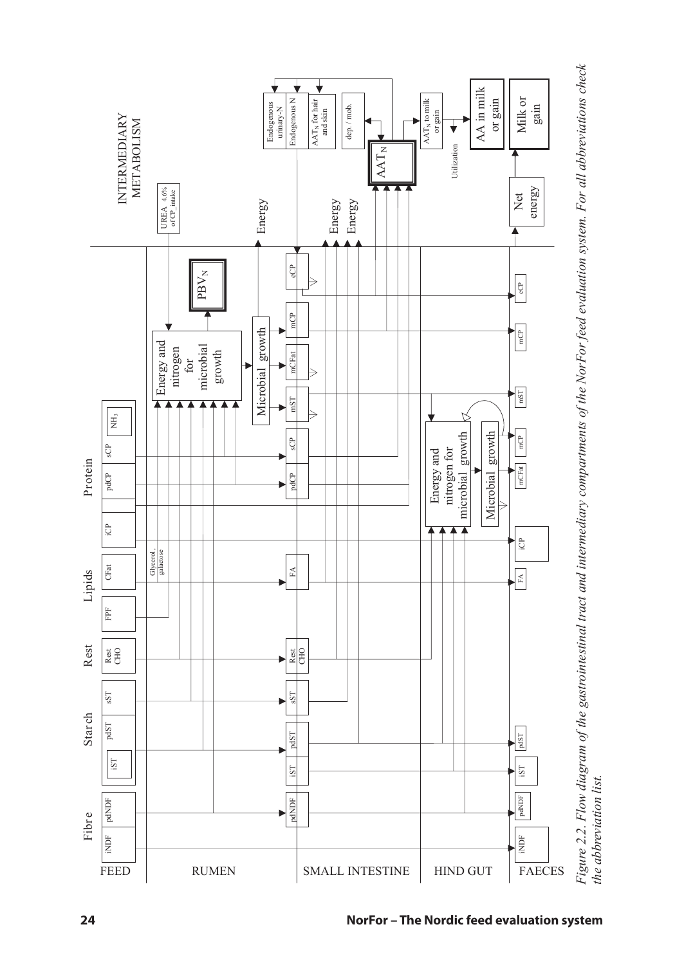